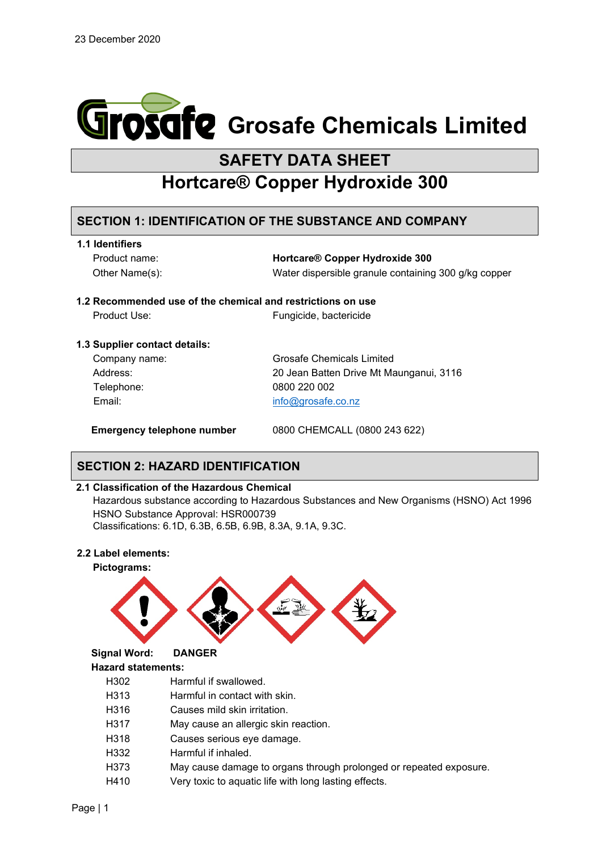

# **SAFETY DATA SHEET**

# **Hortcare® Copper Hydroxide 300**

## **SECTION 1: IDENTIFICATION OF THE SUBSTANCE AND COMPANY**

| 1.1 Identifiers |  |  |
|-----------------|--|--|
|                 |  |  |

Product name: **Hortcare® Copper Hydroxide 300** Other Name(s): Water dispersible granule containing 300 g/kg copper

### **1.2 Recommended use of the chemical and restrictions on use**

Product Use: Fungicide, bactericide

### **1.3 Supplier contact details:**

| Company name: | <b>Grosafe Chemicals Limited</b>        |
|---------------|-----------------------------------------|
| Address:      | 20 Jean Batten Drive Mt Maunganui, 3116 |
| Telephone:    | 0800 220 002                            |
| Email:        | info@grosafe.co.nz                      |
|               |                                         |

**Emergency telephone number** 0800 CHEMCALL (0800 243 622)

# **SECTION 2: HAZARD IDENTIFICATION**

### **2.1 Classification of the Hazardous Chemical**

Hazardous substance according to Hazardous Substances and New Organisms (HSNO) Act 1996 HSNO Substance Approval: HSR000739 Classifications: 6.1D, 6.3B, 6.5B, 6.9B, 8.3A, 9.1A, 9.3C.

### **2.2 Label elements:**



- H318 Causes serious eye damage.
- H332 Harmful if inhaled.
- H373 May cause damage to organs through prolonged or repeated exposure.
- H410 Very toxic to aquatic life with long lasting effects.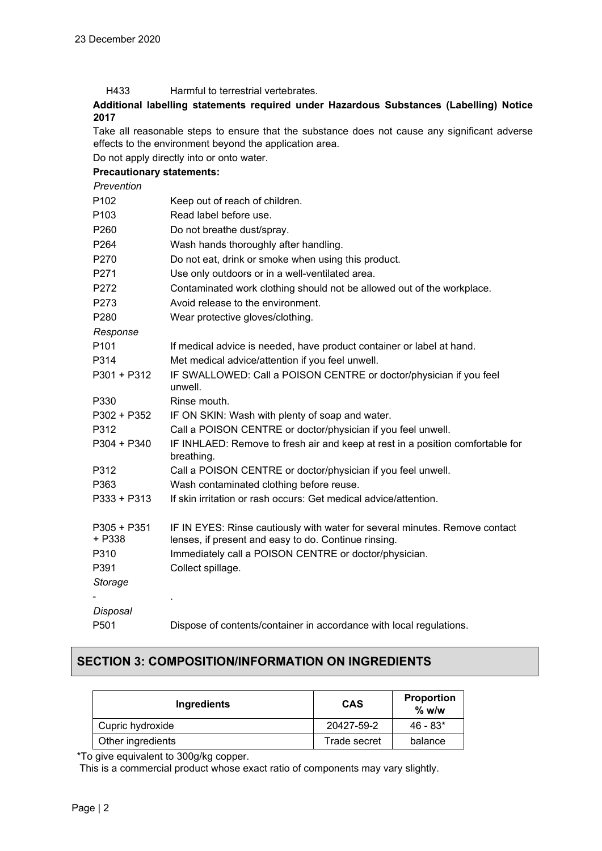| Harmful to terrestrial vertebrates. | H433 |  |  |  |
|-------------------------------------|------|--|--|--|
|-------------------------------------|------|--|--|--|

**Additional labelling statements required under Hazardous Substances (Labelling) Notice 2017**

Take all reasonable steps to ensure that the substance does not cause any significant adverse effects to the environment beyond the application area.

Do not apply directly into or onto water.

### **Precautionary statements:**

*Prevention*

| P102                  | Keep out of reach of children.                                                                                                      |
|-----------------------|-------------------------------------------------------------------------------------------------------------------------------------|
| P103                  | Read label before use.                                                                                                              |
| P260                  | Do not breathe dust/spray.                                                                                                          |
| P264                  | Wash hands thoroughly after handling.                                                                                               |
| P270                  | Do not eat, drink or smoke when using this product.                                                                                 |
| P271                  | Use only outdoors or in a well-ventilated area.                                                                                     |
| P272                  | Contaminated work clothing should not be allowed out of the workplace.                                                              |
| P273                  | Avoid release to the environment.                                                                                                   |
| P280                  | Wear protective gloves/clothing.                                                                                                    |
| Response              |                                                                                                                                     |
| P <sub>101</sub>      | If medical advice is needed, have product container or label at hand.                                                               |
| P314                  | Met medical advice/attention if you feel unwell.                                                                                    |
| P301 + P312           | IF SWALLOWED: Call a POISON CENTRE or doctor/physician if you feel<br>unwell.                                                       |
| P330                  | Rinse mouth.                                                                                                                        |
| P302 + P352           | IF ON SKIN: Wash with plenty of soap and water.                                                                                     |
| P312                  | Call a POISON CENTRE or doctor/physician if you feel unwell.                                                                        |
| P304 + P340           | IF INHLAED: Remove to fresh air and keep at rest in a position comfortable for<br>breathing.                                        |
| P312                  | Call a POISON CENTRE or doctor/physician if you feel unwell.                                                                        |
| P363                  | Wash contaminated clothing before reuse.                                                                                            |
| P333 + P313           | If skin irritation or rash occurs: Get medical advice/attention.                                                                    |
| P305 + P351<br>+ P338 | IF IN EYES: Rinse cautiously with water for several minutes. Remove contact<br>lenses, if present and easy to do. Continue rinsing. |
| P310                  | Immediately call a POISON CENTRE or doctor/physician.                                                                               |
| P391                  | Collect spillage.                                                                                                                   |
| Storage               |                                                                                                                                     |
|                       |                                                                                                                                     |
| Disposal              |                                                                                                                                     |
| P501                  | Dispose of contents/container in accordance with local regulations.                                                                 |

### **SECTION 3: COMPOSITION/INFORMATION ON INGREDIENTS**

| Ingredients       | <b>CAS</b>   | Proportion<br>$%$ w/w |
|-------------------|--------------|-----------------------|
| Cupric hydroxide  | 20427-59-2   | $46 - 83*$            |
| Other ingredients | Trade secret | balance               |

\*To give equivalent to 300g/kg copper.

This is a commercial product whose exact ratio of components may vary slightly.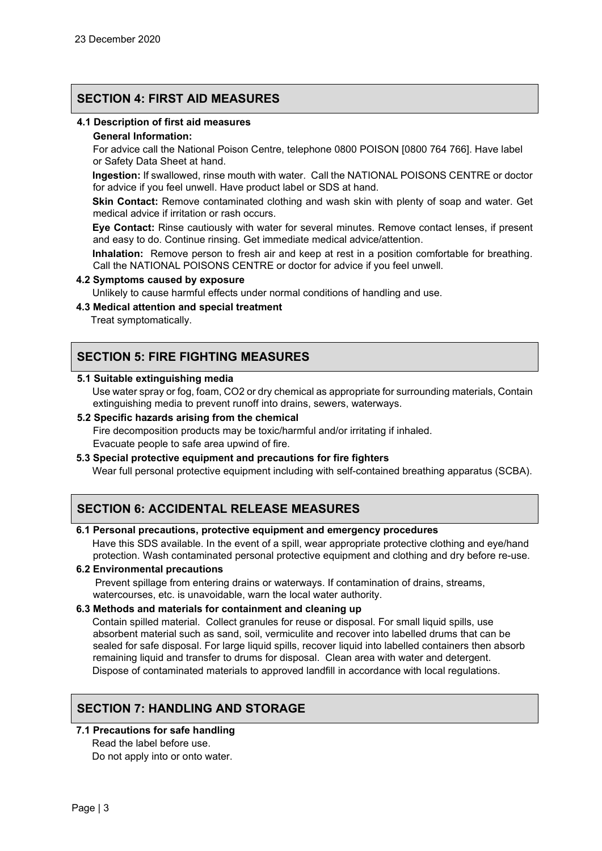### **SECTION 4: FIRST AID MEASURES**

### **4.1 Description of first aid measures**

#### **General Information:**

For advice call the National Poison Centre, telephone 0800 POISON [0800 764 766]. Have label or Safety Data Sheet at hand.

**Ingestion:** If swallowed, rinse mouth with water. Call the NATIONAL POISONS CENTRE or doctor for advice if you feel unwell. Have product label or SDS at hand.

**Skin Contact:** Remove contaminated clothing and wash skin with plenty of soap and water. Get medical advice if irritation or rash occurs.

**Eye Contact:** Rinse cautiously with water for several minutes. Remove contact lenses, if present and easy to do. Continue rinsing. Get immediate medical advice/attention.

**Inhalation:** Remove person to fresh air and keep at rest in a position comfortable for breathing. Call the NATIONAL POISONS CENTRE or doctor for advice if you feel unwell.

#### **4.2 Symptoms caused by exposure**

Unlikely to cause harmful effects under normal conditions of handling and use.

### **4.3 Medical attention and special treatment**

Treat symptomatically.

### **SECTION 5: FIRE FIGHTING MEASURES**

#### **5.1 Suitable extinguishing media**

Use water spray or fog, foam, CO2 or dry chemical as appropriate for surrounding materials, Contain extinguishing media to prevent runoff into drains, sewers, waterways.

#### **5.2 Specific hazards arising from the chemical**

Fire decomposition products may be toxic/harmful and/or irritating if inhaled. Evacuate people to safe area upwind of fire.

### **5.3 Special protective equipment and precautions for fire fighters**

Wear full personal protective equipment including with self-contained breathing apparatus (SCBA).

### **SECTION 6: ACCIDENTAL RELEASE MEASURES**

#### **6.1 Personal precautions, protective equipment and emergency procedures**

Have this SDS available. In the event of a spill, wear appropriate protective clothing and eye/hand protection. Wash contaminated personal protective equipment and clothing and dry before re-use.

#### **6.2 Environmental precautions**

Prevent spillage from entering drains or waterways. If contamination of drains, streams, watercourses, etc. is unavoidable, warn the local water authority.

#### **6.3 Methods and materials for containment and cleaning up**

Contain spilled material. Collect granules for reuse or disposal. For small liquid spills, use absorbent material such as sand, soil, vermiculite and recover into labelled drums that can be sealed for safe disposal. For large liquid spills, recover liquid into labelled containers then absorb remaining liquid and transfer to drums for disposal. Clean area with water and detergent. Dispose of contaminated materials to approved landfill in accordance with local regulations.

### **SECTION 7: HANDLING AND STORAGE**

### **7.1 Precautions for safe handling**

Read the label before use. Do not apply into or onto water.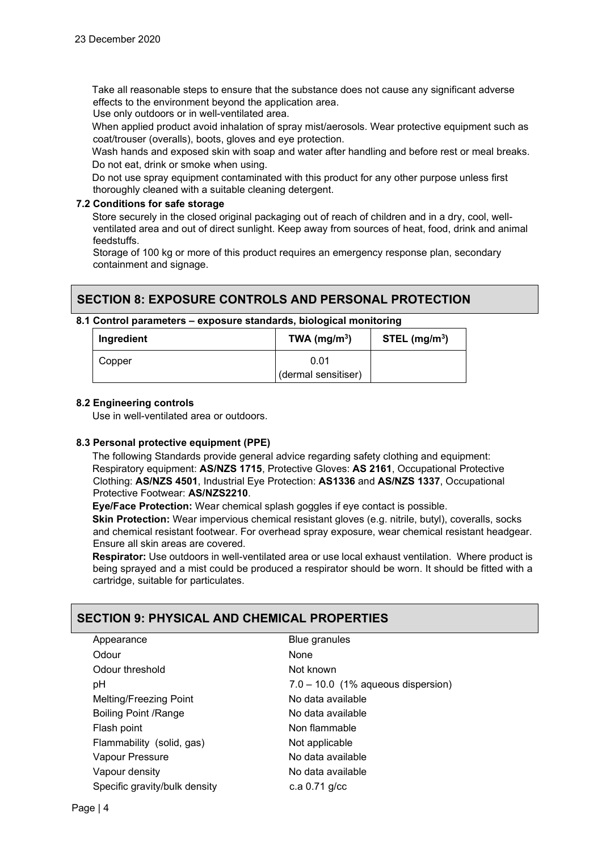Take all reasonable steps to ensure that the substance does not cause any significant adverse effects to the environment beyond the application area.

Use only outdoors or in well-ventilated area.

When applied product avoid inhalation of spray mist/aerosols. Wear protective equipment such as coat/trouser (overalls), boots, gloves and eye protection.

Wash hands and exposed skin with soap and water after handling and before rest or meal breaks. Do not eat, drink or smoke when using.

Do not use spray equipment contaminated with this product for any other purpose unless first thoroughly cleaned with a suitable cleaning detergent.

### **7.2 Conditions for safe storage**

Store securely in the closed original packaging out of reach of children and in a dry, cool, wellventilated area and out of direct sunlight. Keep away from sources of heat, food, drink and animal feedstuffs.

Storage of 100 kg or more of this product requires an emergency response plan, secondary containment and signage.

### **SECTION 8: EXPOSURE CONTROLS AND PERSONAL PROTECTION**

#### **8.1 Control parameters – exposure standards, biological monitoring**

| Ingredient | TWA ( $mg/m3$ )     | STEL (mg/m <sup>3</sup> ) |
|------------|---------------------|---------------------------|
| Copper     | 0.01                |                           |
|            | (dermal sensitiser) |                           |

#### **8.2 Engineering controls**

Use in well-ventilated area or outdoors.

#### **8.3 Personal protective equipment (PPE)**

The following Standards provide general advice regarding safety clothing and equipment: Respiratory equipment: **AS/NZS 1715**, Protective Gloves: **AS 2161**, Occupational Protective Clothing: **AS/NZS 4501**, Industrial Eye Protection: **AS1336** and **AS/NZS 1337**, Occupational Protective Footwear: **AS/NZS2210**.

**Eye/Face Protection:** Wear chemical splash goggles if eye contact is possible.

**Skin Protection:** Wear impervious chemical resistant gloves (e.g. nitrile, butyl), coveralls, socks and chemical resistant footwear. For overhead spray exposure, wear chemical resistant headgear. Ensure all skin areas are covered.

**Respirator:** Use outdoors in well-ventilated area or use local exhaust ventilation. Where product is being sprayed and a mist could be produced a respirator should be worn. It should be fitted with a cartridge, suitable for particulates.

## **SECTION 9: PHYSICAL AND CHEMICAL PROPERTIES**

| Appearance                    | Blue granules                        |
|-------------------------------|--------------------------------------|
| Odour                         | None                                 |
| Odour threshold               | Not known                            |
| рH                            | $7.0 - 10.0$ (1% aqueous dispersion) |
| Melting/Freezing Point        | No data available                    |
| <b>Boiling Point /Range</b>   | No data available                    |
| Flash point                   | Non flammable                        |
| Flammability (solid, gas)     | Not applicable                       |
| Vapour Pressure               | No data available                    |
| Vapour density                | No data available                    |
| Specific gravity/bulk density | c.a $0.71$ q/cc                      |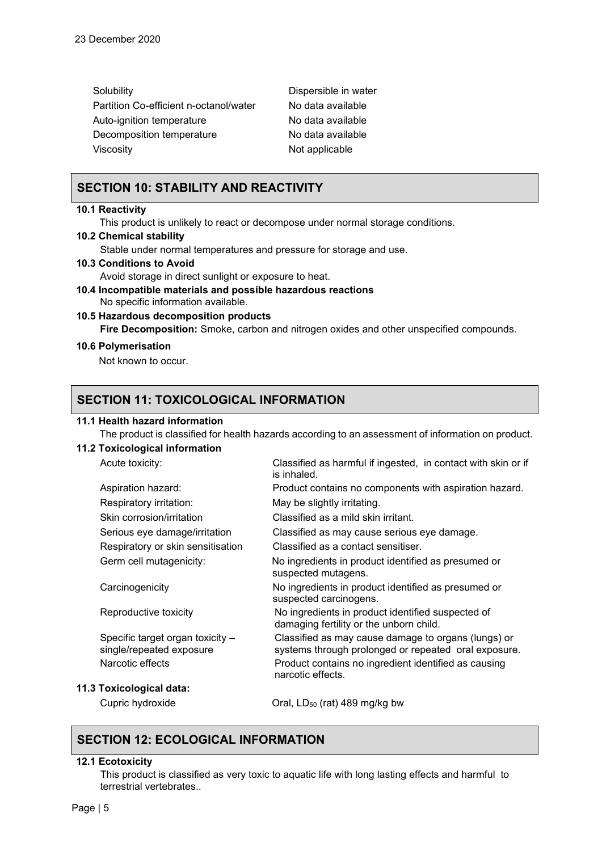| Dispersible in water |
|----------------------|
| No data available    |
| No data available    |
| No data available    |
| Not applicable       |
|                      |

### **SECTION 10: STABILITY AND REACTIVITY**

#### **10.1 Reactivity**

This product is unlikely to react or decompose under normal storage conditions.

### **10.2 Chemical stability**

Stable under normal temperatures and pressure for storage and use.

- **10.3 Conditions to Avoid**  Avoid storage in direct sunlight or exposure to heat.
- **10.4 Incompatible materials and possible hazardous reactions**  No specific information available.
- **10.5 Hazardous decomposition products Fire Decomposition:** Smoke, carbon and nitrogen oxides and other unspecified compounds.

#### **10.6 Polymerisation**

Not known to occur.

### **SECTION 11: TOXICOLOGICAL INFORMATION**

### **11.1 Health hazard information**

The product is classified for health hazards according to an assessment of information on product.

### **11.2 Toxicological information**

| Acute toxicity:                                              | Classified as harmful if ingested, in contact with skin or if<br>is inhaled.                                |
|--------------------------------------------------------------|-------------------------------------------------------------------------------------------------------------|
| Aspiration hazard:                                           | Product contains no components with aspiration hazard.                                                      |
| Respiratory irritation:                                      | May be slightly irritating.                                                                                 |
| Skin corrosion/irritation                                    | Classified as a mild skin irritant.                                                                         |
| Serious eye damage/irritation                                | Classified as may cause serious eye damage.                                                                 |
| Respiratory or skin sensitisation                            | Classified as a contact sensitiser.                                                                         |
| Germ cell mutagenicity:                                      | No ingredients in product identified as presumed or<br>suspected mutagens.                                  |
| Carcinogenicity                                              | No ingredients in product identified as presumed or<br>suspected carcinogens.                               |
| Reproductive toxicity                                        | No ingredients in product identified suspected of<br>damaging fertility or the unborn child.                |
| Specific target organ toxicity -<br>single/repeated exposure | Classified as may cause damage to organs (lungs) or<br>systems through prolonged or repeated oral exposure. |
| Narcotic effects                                             | Product contains no ingredient identified as causing<br>narcotic effects.                                   |
| 11.3 Toxicological data:                                     |                                                                                                             |
| Cupric hydroxide                                             | Oral, LD <sub>50</sub> (rat) 489 mg/kg bw                                                                   |

# **SECTION 12: ECOLOGICAL INFORMATION**

### **12.1 Ecotoxicity**

This product is classified as very toxic to aquatic life with long lasting effects and harmful to terrestrial vertebrates..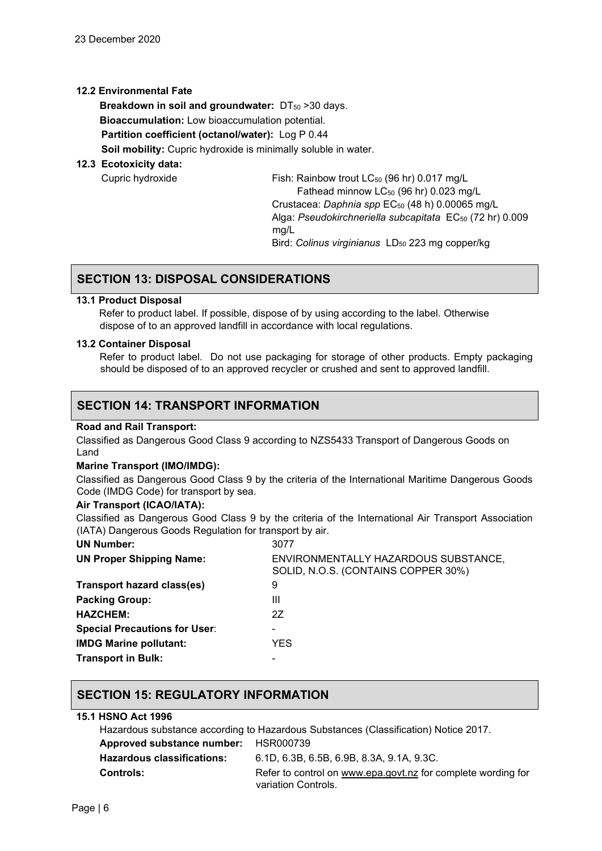### **12.2 Environmental Fate**

**Breakdown in soil and groundwater: DT<sub>50</sub> >30 days. Bioaccumulation:** Low bioaccumulation potential. **Partition coefficient (octanol/water):** Log P 0.44 **Soil mobility:** Cupric hydroxide is minimally soluble in water.

### **12.3 Ecotoxicity data:**

Cupric hydroxide Fish: Rainbow trout LC50 (96 hr) 0.017 mg/L Fathead minnow LC<sub>50</sub> (96 hr) 0.023 mg/L Crustacea: *Daphnia spp* EC<sub>50</sub> (48 h) 0.00065 mg/L Alga: Pseudokirchneriella subcapitata EC<sub>50</sub> (72 hr) 0.009 mg/L Bird: *Colinus virginianus* LD<sub>50</sub> 223 mg copper/kg

# **SECTION 13: DISPOSAL CONSIDERATIONS**

### **13.1 Product Disposal**

 Refer to product label. If possible, dispose of by using according to the label. Otherwise dispose of to an approved landfill in accordance with local regulations.

### **13.2 Container Disposal**

Refer to product label. Do not use packaging for storage of other products. Empty packaging should be disposed of to an approved recycler or crushed and sent to approved landfill.

### **SECTION 14: TRANSPORT INFORMATION**

### **Road and Rail Transport:**

Classified as Dangerous Good Class 9 according to NZS5433 Transport of Dangerous Goods on Land

### **Marine Transport (IMO/IMDG):**

Classified as Dangerous Good Class 9 by the criteria of the International Maritime Dangerous Goods Code (IMDG Code) for transport by sea.

### **Air Transport (ICAO/IATA):**

Classified as Dangerous Good Class 9 by the criteria of the International Air Transport Association (IATA) Dangerous Goods Regulation for transport by air.

| <b>UN Number:</b>                    | 3077                                                                        |
|--------------------------------------|-----------------------------------------------------------------------------|
| <b>UN Proper Shipping Name:</b>      | ENVIRONMENTALLY HAZARDOUS SUBSTANCE,<br>SOLID, N.O.S. (CONTAINS COPPER 30%) |
| <b>Transport hazard class(es)</b>    | 9                                                                           |
| <b>Packing Group:</b>                | Ш                                                                           |
| <b>HAZCHEM:</b>                      | 2Z                                                                          |
| <b>Special Precautions for User:</b> |                                                                             |
| <b>IMDG Marine pollutant:</b>        | YES.                                                                        |
| <b>Transport in Bulk:</b>            |                                                                             |
|                                      |                                                                             |

### **SECTION 15: REGULATORY INFORMATION**

### **15.1 HSNO Act 1996**

Hazardous substance according to Hazardous Substances (Classification) Notice 2017. **Approved substance number:** HSR000739 **Hazardous classifications:** 6.1D, 6.3B, 6.5B, 6.9B, 8.3A, 9.1A, 9.3C. **Controls:** Refer to control on [www.epa.govt.nz](http://www.epa.govt.nz/) for complete wording for variation Controls.